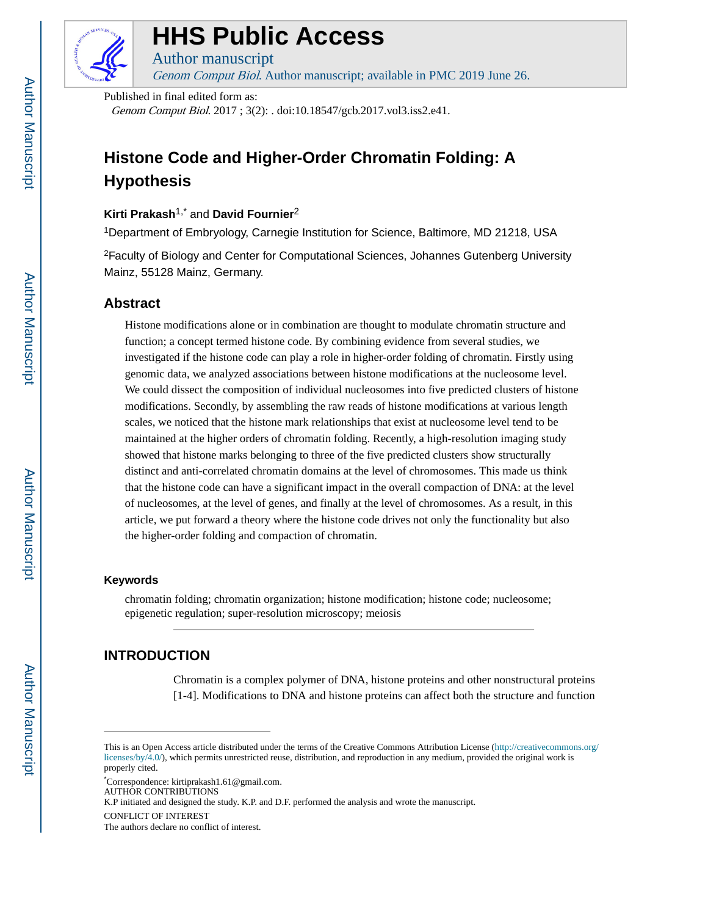

# **HHS Public Access**

Genom Comput Biol. Author manuscript; available in PMC 2019 June 26.

Published in final edited form as:

Author manuscript

Genom Comput Biol. 2017 ; 3(2): . doi:10.18547/gcb.2017.vol3.iss2.e41.

# **Histone Code and Higher-Order Chromatin Folding: A Hypothesis**

### **Kirti Prakash**1,\* and **David Fournier**<sup>2</sup>

<sup>1</sup>Department of Embryology, Carnegie Institution for Science, Baltimore, MD 21218, USA

<sup>2</sup>Faculty of Biology and Center for Computational Sciences, Johannes Gutenberg University Mainz, 55128 Mainz, Germany.

### **Abstract**

Histone modifications alone or in combination are thought to modulate chromatin structure and function; a concept termed histone code. By combining evidence from several studies, we investigated if the histone code can play a role in higher-order folding of chromatin. Firstly using genomic data, we analyzed associations between histone modifications at the nucleosome level. We could dissect the composition of individual nucleosomes into five predicted clusters of histone modifications. Secondly, by assembling the raw reads of histone modifications at various length scales, we noticed that the histone mark relationships that exist at nucleosome level tend to be maintained at the higher orders of chromatin folding. Recently, a high-resolution imaging study showed that histone marks belonging to three of the five predicted clusters show structurally distinct and anti-correlated chromatin domains at the level of chromosomes. This made us think that the histone code can have a significant impact in the overall compaction of DNA: at the level of nucleosomes, at the level of genes, and finally at the level of chromosomes. As a result, in this article, we put forward a theory where the histone code drives not only the functionality but also the higher-order folding and compaction of chromatin.

### **Keywords**

chromatin folding; chromatin organization; histone modification; histone code; nucleosome; epigenetic regulation; super-resolution microscopy; meiosis

## **INTRODUCTION**

Chromatin is a complex polymer of DNA, histone proteins and other nonstructural proteins [1-4]. Modifications to DNA and histone proteins can affect both the structure and function

This is an Open Access article distributed under the terms of the Creative Commons Attribution License ([http://creativecommons.org/](http://creativecommons.org/licenses/by/4.0/) [licenses/by/4.0/](http://creativecommons.org/licenses/by/4.0/)), which permits unrestricted reuse, distribution, and reproduction in any medium, provided the original work is properly cited.

<sup>\*</sup>Correspondence: kirtiprakash1.61@gmail.com. AUTHOR CONTRIBUTIONS K.P initiated and designed the study. K.P. and D.F. performed the analysis and wrote the manuscript. CONFLICT OF INTEREST

The authors declare no conflict of interest.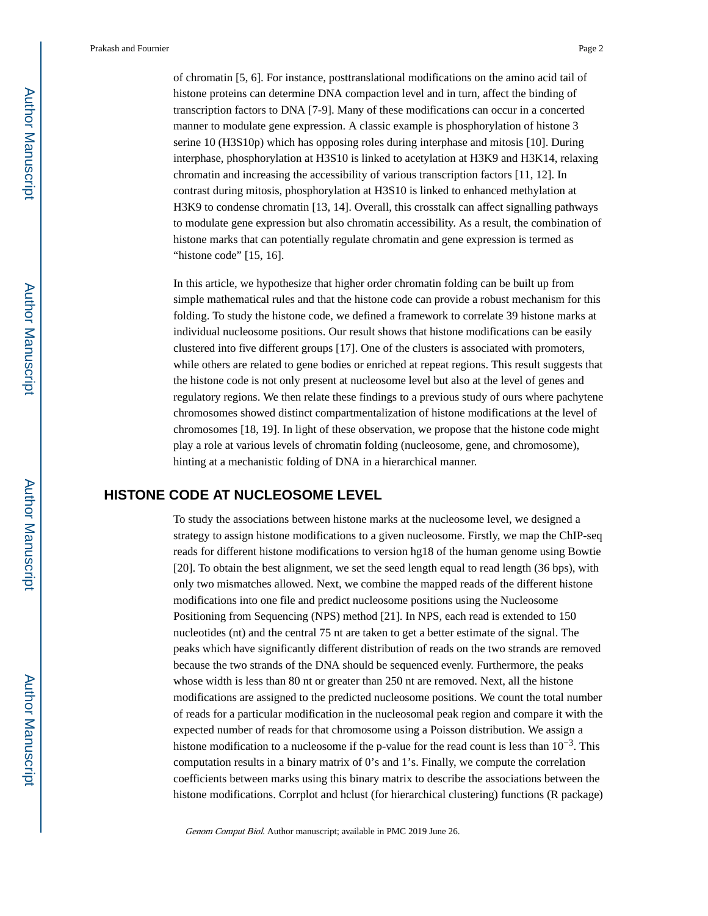of chromatin [5, 6]. For instance, posttranslational modifications on the amino acid tail of histone proteins can determine DNA compaction level and in turn, affect the binding of transcription factors to DNA [7-9]. Many of these modifications can occur in a concerted manner to modulate gene expression. A classic example is phosphorylation of histone 3 serine 10 (H3S10p) which has opposing roles during interphase and mitosis [10]. During interphase, phosphorylation at H3S10 is linked to acetylation at H3K9 and H3K14, relaxing chromatin and increasing the accessibility of various transcription factors [11, 12]. In contrast during mitosis, phosphorylation at H3S10 is linked to enhanced methylation at H3K9 to condense chromatin [13, 14]. Overall, this crosstalk can affect signalling pathways to modulate gene expression but also chromatin accessibility. As a result, the combination of histone marks that can potentially regulate chromatin and gene expression is termed as "histone code" [15, 16].

In this article, we hypothesize that higher order chromatin folding can be built up from simple mathematical rules and that the histone code can provide a robust mechanism for this folding. To study the histone code, we defined a framework to correlate 39 histone marks at individual nucleosome positions. Our result shows that histone modifications can be easily clustered into five different groups [17]. One of the clusters is associated with promoters, while others are related to gene bodies or enriched at repeat regions. This result suggests that the histone code is not only present at nucleosome level but also at the level of genes and regulatory regions. We then relate these findings to a previous study of ours where pachytene chromosomes showed distinct compartmentalization of histone modifications at the level of chromosomes [18, 19]. In light of these observation, we propose that the histone code might play a role at various levels of chromatin folding (nucleosome, gene, and chromosome), hinting at a mechanistic folding of DNA in a hierarchical manner.

### **HISTONE CODE AT NUCLEOSOME LEVEL**

To study the associations between histone marks at the nucleosome level, we designed a strategy to assign histone modifications to a given nucleosome. Firstly, we map the ChIP-seq reads for different histone modifications to version hg18 of the human genome using Bowtie [20]. To obtain the best alignment, we set the seed length equal to read length (36 bps), with only two mismatches allowed. Next, we combine the mapped reads of the different histone modifications into one file and predict nucleosome positions using the Nucleosome Positioning from Sequencing (NPS) method [21]. In NPS, each read is extended to 150 nucleotides (nt) and the central 75 nt are taken to get a better estimate of the signal. The peaks which have significantly different distribution of reads on the two strands are removed because the two strands of the DNA should be sequenced evenly. Furthermore, the peaks whose width is less than 80 nt or greater than 250 nt are removed. Next, all the histone modifications are assigned to the predicted nucleosome positions. We count the total number of reads for a particular modification in the nucleosomal peak region and compare it with the expected number of reads for that chromosome using a Poisson distribution. We assign a histone modification to a nucleosome if the p-value for the read count is less than  $10^{-3}$ . This computation results in a binary matrix of 0's and 1's. Finally, we compute the correlation coefficients between marks using this binary matrix to describe the associations between the histone modifications. Corrplot and hclust (for hierarchical clustering) functions (R package)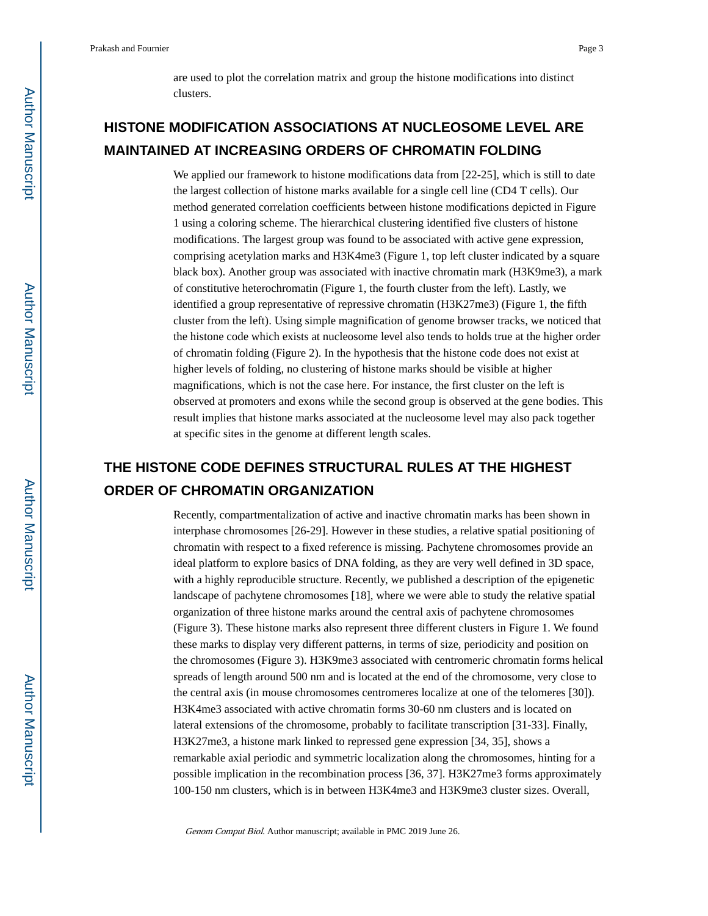are used to plot the correlation matrix and group the histone modifications into distinct clusters.

# **HISTONE MODIFICATION ASSOCIATIONS AT NUCLEOSOME LEVEL ARE MAINTAINED AT INCREASING ORDERS OF CHROMATIN FOLDING**

We applied our framework to histone modifications data from [22-25], which is still to date the largest collection of histone marks available for a single cell line (CD4 T cells). Our method generated correlation coefficients between histone modifications depicted in Figure 1 using a coloring scheme. The hierarchical clustering identified five clusters of histone modifications. The largest group was found to be associated with active gene expression, comprising acetylation marks and H3K4me3 (Figure 1, top left cluster indicated by a square black box). Another group was associated with inactive chromatin mark (H3K9me3), a mark of constitutive heterochromatin (Figure 1, the fourth cluster from the left). Lastly, we identified a group representative of repressive chromatin (H3K27me3) (Figure 1, the fifth cluster from the left). Using simple magnification of genome browser tracks, we noticed that the histone code which exists at nucleosome level also tends to holds true at the higher order of chromatin folding (Figure 2). In the hypothesis that the histone code does not exist at higher levels of folding, no clustering of histone marks should be visible at higher magnifications, which is not the case here. For instance, the first cluster on the left is observed at promoters and exons while the second group is observed at the gene bodies. This result implies that histone marks associated at the nucleosome level may also pack together at specific sites in the genome at different length scales.

# **THE HISTONE CODE DEFINES STRUCTURAL RULES AT THE HIGHEST ORDER OF CHROMATIN ORGANIZATION**

Recently, compartmentalization of active and inactive chromatin marks has been shown in interphase chromosomes [26-29]. However in these studies, a relative spatial positioning of chromatin with respect to a fixed reference is missing. Pachytene chromosomes provide an ideal platform to explore basics of DNA folding, as they are very well defined in 3D space, with a highly reproducible structure. Recently, we published a description of the epigenetic landscape of pachytene chromosomes [18], where we were able to study the relative spatial organization of three histone marks around the central axis of pachytene chromosomes (Figure 3). These histone marks also represent three different clusters in Figure 1. We found these marks to display very different patterns, in terms of size, periodicity and position on the chromosomes (Figure 3). H3K9me3 associated with centromeric chromatin forms helical spreads of length around 500 nm and is located at the end of the chromosome, very close to the central axis (in mouse chromosomes centromeres localize at one of the telomeres [30]). H3K4me3 associated with active chromatin forms 30-60 nm clusters and is located on lateral extensions of the chromosome, probably to facilitate transcription [31-33]. Finally, H3K27me3, a histone mark linked to repressed gene expression [34, 35], shows a remarkable axial periodic and symmetric localization along the chromosomes, hinting for a possible implication in the recombination process [36, 37]. H3K27me3 forms approximately 100-150 nm clusters, which is in between H3K4me3 and H3K9me3 cluster sizes. Overall,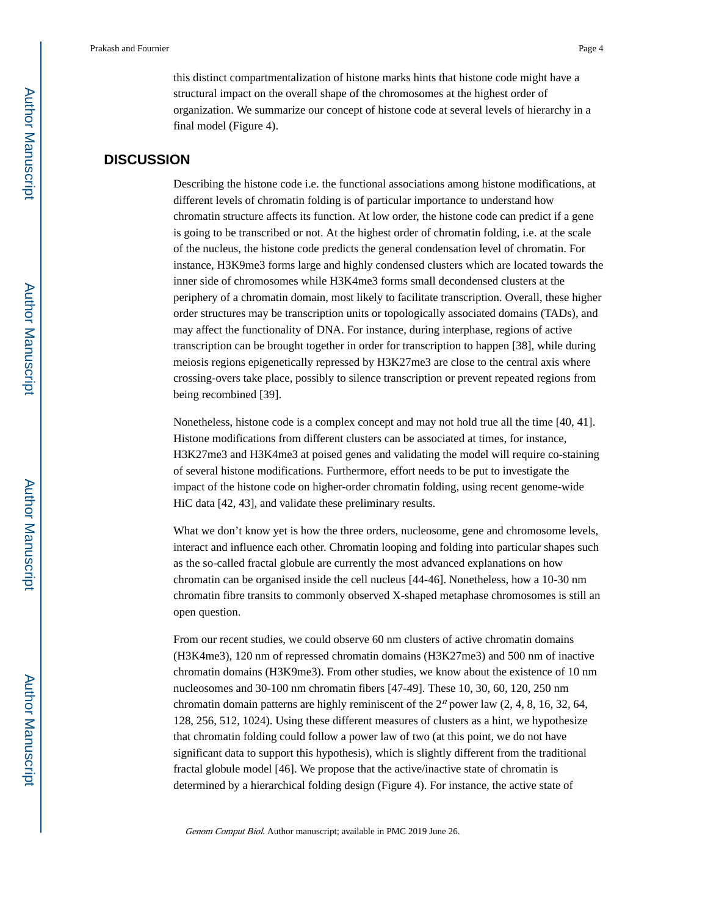this distinct compartmentalization of histone marks hints that histone code might have a structural impact on the overall shape of the chromosomes at the highest order of organization. We summarize our concept of histone code at several levels of hierarchy in a final model (Figure 4).

### **DISCUSSION**

Describing the histone code i.e. the functional associations among histone modifications, at different levels of chromatin folding is of particular importance to understand how chromatin structure affects its function. At low order, the histone code can predict if a gene is going to be transcribed or not. At the highest order of chromatin folding, i.e. at the scale of the nucleus, the histone code predicts the general condensation level of chromatin. For instance, H3K9me3 forms large and highly condensed clusters which are located towards the inner side of chromosomes while H3K4me3 forms small decondensed clusters at the periphery of a chromatin domain, most likely to facilitate transcription. Overall, these higher order structures may be transcription units or topologically associated domains (TADs), and may affect the functionality of DNA. For instance, during interphase, regions of active transcription can be brought together in order for transcription to happen [38], while during meiosis regions epigenetically repressed by H3K27me3 are close to the central axis where crossing-overs take place, possibly to silence transcription or prevent repeated regions from being recombined [39].

Nonetheless, histone code is a complex concept and may not hold true all the time [40, 41]. Histone modifications from different clusters can be associated at times, for instance, H3K27me3 and H3K4me3 at poised genes and validating the model will require co-staining of several histone modifications. Furthermore, effort needs to be put to investigate the impact of the histone code on higher-order chromatin folding, using recent genome-wide HiC data [42, 43], and validate these preliminary results.

What we don't know yet is how the three orders, nucleosome, gene and chromosome levels, interact and influence each other. Chromatin looping and folding into particular shapes such as the so-called fractal globule are currently the most advanced explanations on how chromatin can be organised inside the cell nucleus [44-46]. Nonetheless, how a 10-30 nm chromatin fibre transits to commonly observed X-shaped metaphase chromosomes is still an open question.

From our recent studies, we could observe 60 nm clusters of active chromatin domains (H3K4me3), 120 nm of repressed chromatin domains (H3K27me3) and 500 nm of inactive chromatin domains (H3K9me3). From other studies, we know about the existence of 10 nm nucleosomes and 30-100 nm chromatin fibers [47-49]. These 10, 30, 60, 120, 250 nm chromatin domain patterns are highly reminiscent of the  $2<sup>n</sup>$  power law (2, 4, 8, 16, 32, 64, 128, 256, 512, 1024). Using these different measures of clusters as a hint, we hypothesize that chromatin folding could follow a power law of two (at this point, we do not have significant data to support this hypothesis), which is slightly different from the traditional fractal globule model [46]. We propose that the active/inactive state of chromatin is determined by a hierarchical folding design (Figure 4). For instance, the active state of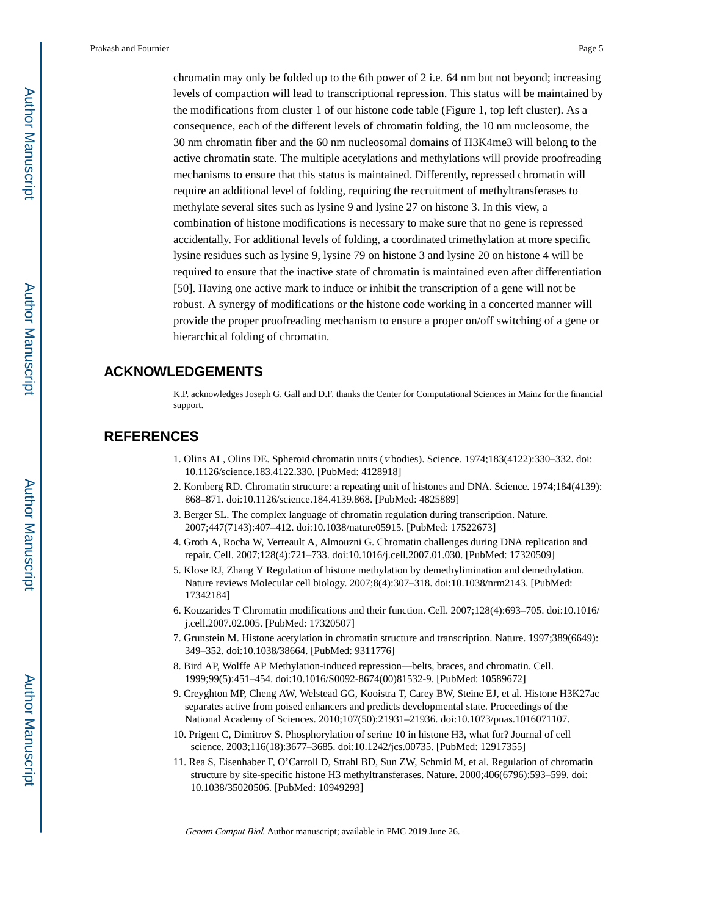chromatin may only be folded up to the 6th power of 2 i.e. 64 nm but not beyond; increasing levels of compaction will lead to transcriptional repression. This status will be maintained by the modifications from cluster 1 of our histone code table (Figure 1, top left cluster). As a consequence, each of the different levels of chromatin folding, the 10 nm nucleosome, the 30 nm chromatin fiber and the 60 nm nucleosomal domains of H3K4me3 will belong to the active chromatin state. The multiple acetylations and methylations will provide proofreading mechanisms to ensure that this status is maintained. Differently, repressed chromatin will require an additional level of folding, requiring the recruitment of methyltransferases to methylate several sites such as lysine 9 and lysine 27 on histone 3. In this view, a combination of histone modifications is necessary to make sure that no gene is repressed accidentally. For additional levels of folding, a coordinated trimethylation at more specific lysine residues such as lysine 9, lysine 79 on histone 3 and lysine 20 on histone 4 will be required to ensure that the inactive state of chromatin is maintained even after differentiation [50]. Having one active mark to induce or inhibit the transcription of a gene will not be robust. A synergy of modifications or the histone code working in a concerted manner will provide the proper proofreading mechanism to ensure a proper on/off switching of a gene or hierarchical folding of chromatin.

### **ACKNOWLEDGEMENTS**

K.P. acknowledges Joseph G. Gall and D.F. thanks the Center for Computational Sciences in Mainz for the financial support.

### **REFERENCES**

- 1. Olins AL, Olins DE. Spheroid chromatin units (v bodies). Science. 1974;183(4122):330–332. doi: 10.1126/science.183.4122.330. [PubMed: 4128918]
- 2. Kornberg RD. Chromatin structure: a repeating unit of histones and DNA. Science. 1974;184(4139): 868–871. doi:10.1126/science.184.4139.868. [PubMed: 4825889]
- 3. Berger SL. The complex language of chromatin regulation during transcription. Nature. 2007;447(7143):407–412. doi:10.1038/nature05915. [PubMed: 17522673]
- 4. Groth A, Rocha W, Verreault A, Almouzni G. Chromatin challenges during DNA replication and repair. Cell. 2007;128(4):721–733. doi:10.1016/j.cell.2007.01.030. [PubMed: 17320509]
- 5. Klose RJ, Zhang Y Regulation of histone methylation by demethylimination and demethylation. Nature reviews Molecular cell biology. 2007;8(4):307–318. doi:10.1038/nrm2143. [PubMed: 17342184]
- 6. Kouzarides T Chromatin modifications and their function. Cell. 2007;128(4):693–705. doi:10.1016/ j.cell.2007.02.005. [PubMed: 17320507]
- 7. Grunstein M. Histone acetylation in chromatin structure and transcription. Nature. 1997;389(6649): 349–352. doi:10.1038/38664. [PubMed: 9311776]
- 8. Bird AP, Wolffe AP Methylation-induced repression—belts, braces, and chromatin. Cell. 1999;99(5):451–454. doi:10.1016/S0092-8674(00)81532-9. [PubMed: 10589672]
- 9. Creyghton MP, Cheng AW, Welstead GG, Kooistra T, Carey BW, Steine EJ, et al. Histone H3K27ac separates active from poised enhancers and predicts developmental state. Proceedings of the National Academy of Sciences. 2010;107(50):21931–21936. doi:10.1073/pnas.1016071107.
- 10. Prigent C, Dimitrov S. Phosphorylation of serine 10 in histone H3, what for? Journal of cell science. 2003;116(18):3677–3685. doi:10.1242/jcs.00735. [PubMed: 12917355]
- 11. Rea S, Eisenhaber F, O'Carroll D, Strahl BD, Sun ZW, Schmid M, et al. Regulation of chromatin structure by site-specific histone H3 methyltransferases. Nature. 2000;406(6796):593–599. doi: 10.1038/35020506. [PubMed: 10949293]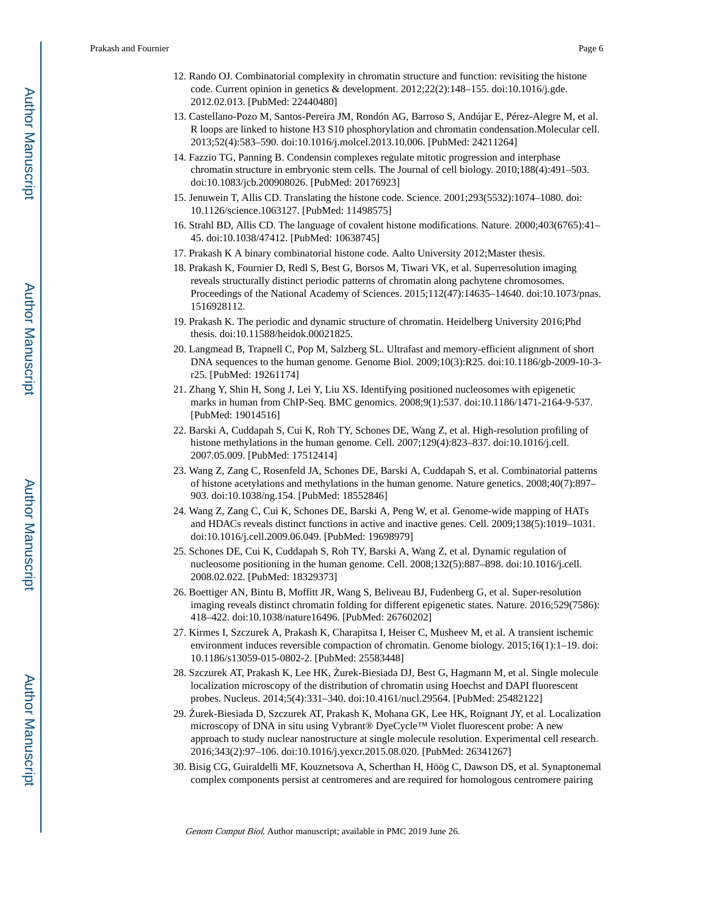- 12. Rando OJ. Combinatorial complexity in chromatin structure and function: revisiting the histone code. Current opinion in genetics & development. 2012;22(2):148–155. doi:10.1016/j.gde. 2012.02.013. [PubMed: 22440480]
- 13. Castellano-Pozo M, Santos-Pereira JM, Rondón AG, Barroso S, Andújar E, Pérez-Alegre M, et al. R loops are linked to histone H3 S10 phosphorylation and chromatin condensation.Molecular cell. 2013;52(4):583–590. doi:10.1016/j.molcel.2013.10.006. [PubMed: 24211264]
- 14. Fazzio TG, Panning B. Condensin complexes regulate mitotic progression and interphase chromatin structure in embryonic stem cells. The Journal of cell biology. 2010;188(4):491–503. doi:10.1083/jcb.200908026. [PubMed: 20176923]
- 15. Jenuwein T, Allis CD. Translating the histone code. Science. 2001;293(5532):1074–1080. doi: 10.1126/science.1063127. [PubMed: 11498575]
- 16. Strahl BD, Allis CD. The language of covalent histone modifications. Nature. 2000;403(6765):41– 45. doi:10.1038/47412. [PubMed: 10638745]
- 17. Prakash K A binary combinatorial histone code. Aalto University 2012;Master thesis.
- 18. Prakash K, Fournier D, Redl S, Best G, Borsos M, Tiwari VK, et al. Superresolution imaging reveals structurally distinct periodic patterns of chromatin along pachytene chromosomes. Proceedings of the National Academy of Sciences. 2015;112(47):14635–14640. doi:10.1073/pnas. 1516928112.
- 19. Prakash K. The periodic and dynamic structure of chromatin. Heidelberg University 2016;Phd thesis. doi:10.11588/heidok.00021825.
- 20. Langmead B, Trapnell C, Pop M, Salzberg SL. Ultrafast and memory-efficient alignment of short DNA sequences to the human genome. Genome Biol. 2009;10(3):R25. doi:10.1186/gb-2009-10-3 r25. [PubMed: 19261174]
- 21. Zhang Y, Shin H, Song J, Lei Y, Liu XS. Identifying positioned nucleosomes with epigenetic marks in human from ChIP-Seq. BMC genomics. 2008;9(1):537. doi:10.1186/1471-2164-9-537. [PubMed: 19014516]
- 22. Barski A, Cuddapah S, Cui K, Roh TY, Schones DE, Wang Z, et al. High-resolution profiling of histone methylations in the human genome. Cell. 2007;129(4):823–837. doi:10.1016/j.cell. 2007.05.009. [PubMed: 17512414]
- 23. Wang Z, Zang C, Rosenfeld JA, Schones DE, Barski A, Cuddapah S, et al. Combinatorial patterns of histone acetylations and methylations in the human genome. Nature genetics. 2008;40(7):897– 903. doi:10.1038/ng.154. [PubMed: 18552846]
- 24. Wang Z, Zang C, Cui K, Schones DE, Barski A, Peng W, et al. Genome-wide mapping of HATs and HDACs reveals distinct functions in active and inactive genes. Cell. 2009;138(5):1019–1031. doi:10.1016/j.cell.2009.06.049. [PubMed: 19698979]
- 25. Schones DE, Cui K, Cuddapah S, Roh TY, Barski A, Wang Z, et al. Dynamic regulation of nucleosome positioning in the human genome. Cell. 2008;132(5):887–898. doi:10.1016/j.cell. 2008.02.022. [PubMed: 18329373]
- 26. Boettiger AN, Bintu B, Moffitt JR, Wang S, Beliveau BJ, Fudenberg G, et al. Super-resolution imaging reveals distinct chromatin folding for different epigenetic states. Nature. 2016;529(7586): 418–422. doi:10.1038/nature16496. [PubMed: 26760202]
- 27. Kirmes I, Szczurek A, Prakash K, Charapitsa I, Heiser C, Musheev M, et al. A transient ischemic environment induces reversible compaction of chromatin. Genome biology. 2015;16(1):1–19. doi: 10.1186/s13059-015-0802-2. [PubMed: 25583448]
- 28. Szczurek AT, Prakash K, Lee HK, urek-Biesiada DJ, Best G, Hagmann M, et al. Single molecule localization microscopy of the distribution of chromatin using Hoechst and DAPI fluorescent probes. Nucleus. 2014;5(4):331–340. doi:10.4161/nucl.29564. [PubMed: 25482122]
- 29. urek-Biesiada D, Szczurek AT, Prakash K, Mohana GK, Lee HK, Roignant JY, et al. Localization microscopy of DNA in situ using Vybrant® DyeCycle™ Violet fluorescent probe: A new approach to study nuclear nanostructure at single molecule resolution. Experimental cell research. 2016;343(2):97–106. doi:10.1016/j.yexcr.2015.08.020. [PubMed: 26341267]
- 30. Bisig CG, Guiraldelli MF, Kouznetsova A, Scherthan H, Höög C, Dawson DS, et al. Synaptonemal complex components persist at centromeres and are required for homologous centromere pairing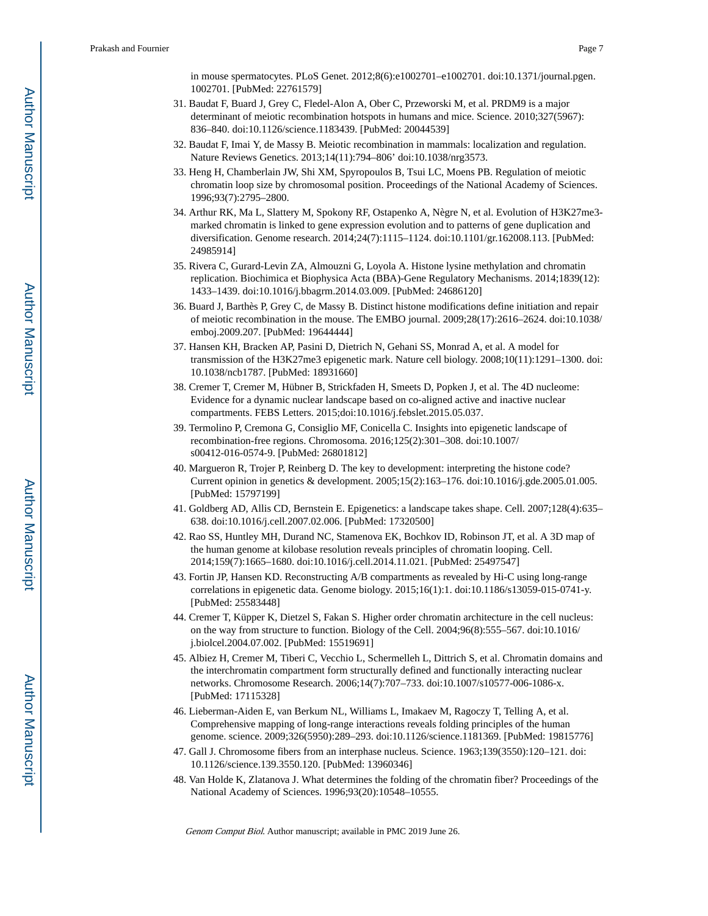- 31. Baudat F, Buard J, Grey C, Fledel-Alon A, Ober C, Przeworski M, et al. PRDM9 is a major determinant of meiotic recombination hotspots in humans and mice. Science. 2010;327(5967): 836–840. doi:10.1126/science.1183439. [PubMed: 20044539]
- 32. Baudat F, Imai Y, de Massy B. Meiotic recombination in mammals: localization and regulation. Nature Reviews Genetics. 2013;14(11):794–806' doi:10.1038/nrg3573.
- 33. Heng H, Chamberlain JW, Shi XM, Spyropoulos B, Tsui LC, Moens PB. Regulation of meiotic chromatin loop size by chromosomal position. Proceedings of the National Academy of Sciences. 1996;93(7):2795–2800.
- 34. Arthur RK, Ma L, Slattery M, Spokony RF, Ostapenko A, Nègre N, et al. Evolution of H3K27me3 marked chromatin is linked to gene expression evolution and to patterns of gene duplication and diversification. Genome research. 2014;24(7):1115–1124. doi:10.1101/gr.162008.113. [PubMed: 24985914]
- 35. Rivera C, Gurard-Levin ZA, Almouzni G, Loyola A. Histone lysine methylation and chromatin replication. Biochimica et Biophysica Acta (BBA)-Gene Regulatory Mechanisms. 2014;1839(12): 1433–1439. doi:10.1016/j.bbagrm.2014.03.009. [PubMed: 24686120]
- 36. Buard J, Barthès P, Grey C, de Massy B. Distinct histone modifications define initiation and repair of meiotic recombination in the mouse. The EMBO journal. 2009;28(17):2616–2624. doi:10.1038/ emboj.2009.207. [PubMed: 19644444]
- 37. Hansen KH, Bracken AP, Pasini D, Dietrich N, Gehani SS, Monrad A, et al. A model for transmission of the H3K27me3 epigenetic mark. Nature cell biology. 2008;10(11):1291–1300. doi: 10.1038/ncb1787. [PubMed: 18931660]
- 38. Cremer T, Cremer M, Hübner B, Strickfaden H, Smeets D, Popken J, et al. The 4D nucleome: Evidence for a dynamic nuclear landscape based on co-aligned active and inactive nuclear compartments. FEBS Letters. 2015;doi:10.1016/j.febslet.2015.05.037.
- 39. Termolino P, Cremona G, Consiglio MF, Conicella C. Insights into epigenetic landscape of recombination-free regions. Chromosoma. 2016;125(2):301–308. doi:10.1007/ s00412-016-0574-9. [PubMed: 26801812]
- 40. Margueron R, Trojer P, Reinberg D. The key to development: interpreting the histone code? Current opinion in genetics & development. 2005;15(2):163–176. doi:10.1016/j.gde.2005.01.005. [PubMed: 15797199]
- 41. Goldberg AD, Allis CD, Bernstein E. Epigenetics: a landscape takes shape. Cell. 2007;128(4):635– 638. doi:10.1016/j.cell.2007.02.006. [PubMed: 17320500]
- 42. Rao SS, Huntley MH, Durand NC, Stamenova EK, Bochkov ID, Robinson JT, et al. A 3D map of the human genome at kilobase resolution reveals principles of chromatin looping. Cell. 2014;159(7):1665–1680. doi:10.1016/j.cell.2014.11.021. [PubMed: 25497547]
- 43. Fortin JP, Hansen KD. Reconstructing A/B compartments as revealed by Hi-C using long-range correlations in epigenetic data. Genome biology. 2015;16(1):1. doi:10.1186/s13059-015-0741-y. [PubMed: 25583448]
- 44. Cremer T, Küpper K, Dietzel S, Fakan S. Higher order chromatin architecture in the cell nucleus: on the way from structure to function. Biology of the Cell. 2004;96(8):555–567. doi:10.1016/ j.biolcel.2004.07.002. [PubMed: 15519691]
- 45. Albiez H, Cremer M, Tiberi C, Vecchio L, Schermelleh L, Dittrich S, et al. Chromatin domains and the interchromatin compartment form structurally defined and functionally interacting nuclear networks. Chromosome Research. 2006;14(7):707–733. doi:10.1007/s10577-006-1086-x. [PubMed: 17115328]
- 46. Lieberman-Aiden E, van Berkum NL, Williams L, Imakaev M, Ragoczy T, Telling A, et al. Comprehensive mapping of long-range interactions reveals folding principles of the human genome. science. 2009;326(5950):289–293. doi:10.1126/science.1181369. [PubMed: 19815776]
- 47. Gall J. Chromosome fibers from an interphase nucleus. Science. 1963;139(3550):120–121. doi: 10.1126/science.139.3550.120. [PubMed: 13960346]
- 48. Van Holde K, Zlatanova J. What determines the folding of the chromatin fiber? Proceedings of the National Academy of Sciences. 1996;93(20):10548–10555.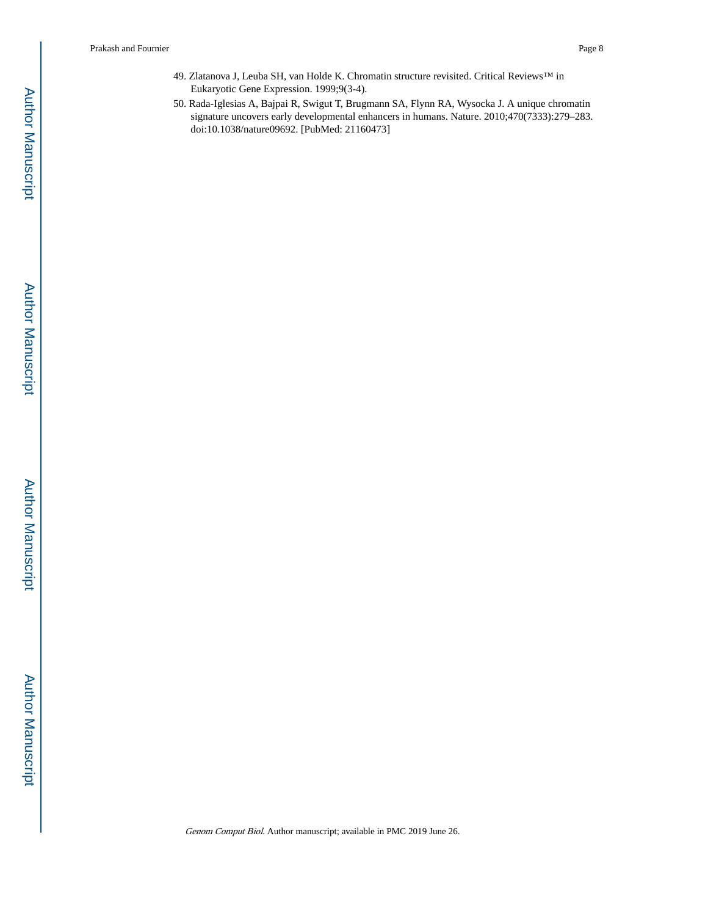- 49. Zlatanova J, Leuba SH, van Holde K. Chromatin structure revisited. Critical Reviews™ in Eukaryotic Gene Expression. 1999;9(3-4).
- 50. Rada-Iglesias A, Bajpai R, Swigut T, Brugmann SA, Flynn RA, Wysocka J. A unique chromatin signature uncovers early developmental enhancers in humans. Nature. 2010;470(7333):279–283. doi:10.1038/nature09692. [PubMed: 21160473]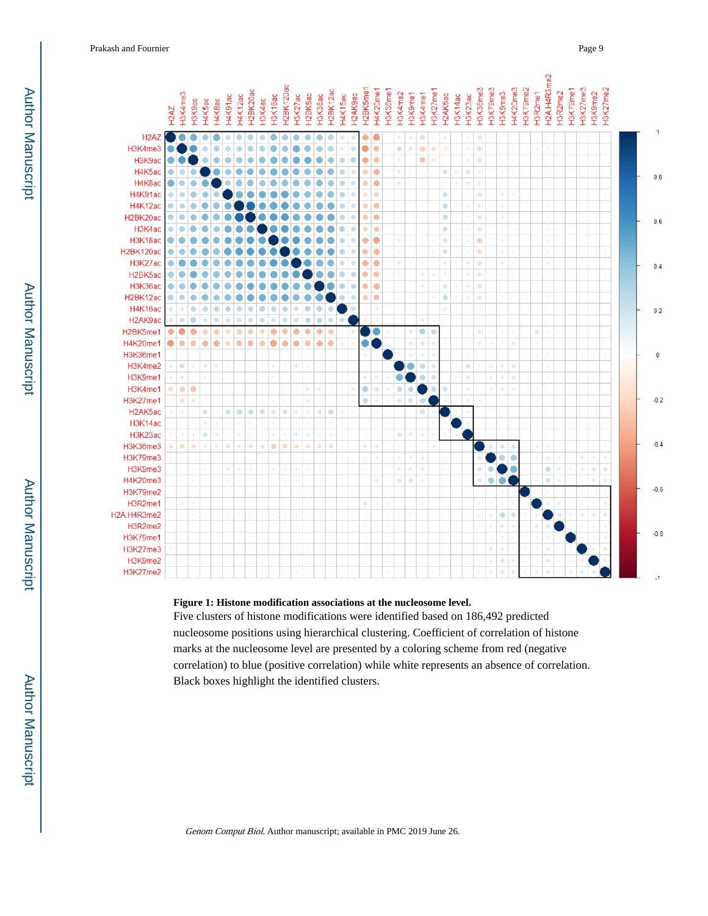Prakash and Fournier Page 9



#### **Figure 1: Histone modification associations at the nucleosome level.**

Five clusters of histone modifications were identified based on 186,492 predicted nucleosome positions using hierarchical clustering. Coefficient of correlation of histone marks at the nucleosome level are presented by a coloring scheme from red (negative correlation) to blue (positive correlation) while white represents an absence of correlation. Black boxes highlight the identified clusters.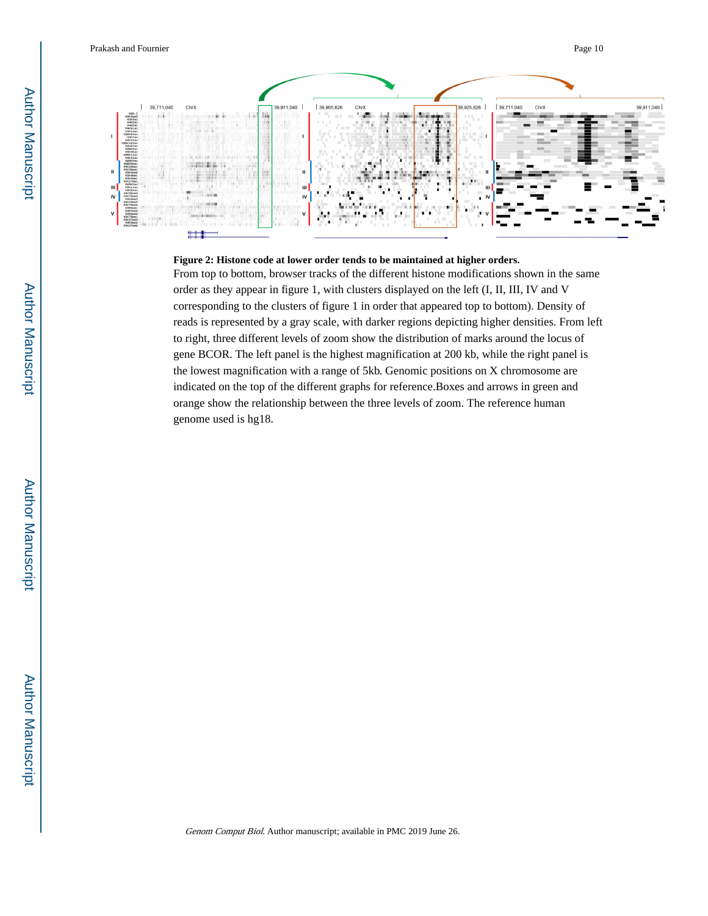

#### **Figure 2: Histone code at lower order tends to be maintained at higher orders.**

From top to bottom, browser tracks of the different histone modifications shown in the same order as they appear in figure 1, with clusters displayed on the left (I, II, III, IV and V corresponding to the clusters of figure 1 in order that appeared top to bottom). Density of reads is represented by a gray scale, with darker regions depicting higher densities. From left to right, three different levels of zoom show the distribution of marks around the locus of gene BCOR. The left panel is the highest magnification at 200 kb, while the right panel is the lowest magnification with a range of 5kb. Genomic positions on X chromosome are indicated on the top of the different graphs for reference.Boxes and arrows in green and orange show the relationship between the three levels of zoom. The reference human genome used is hg18.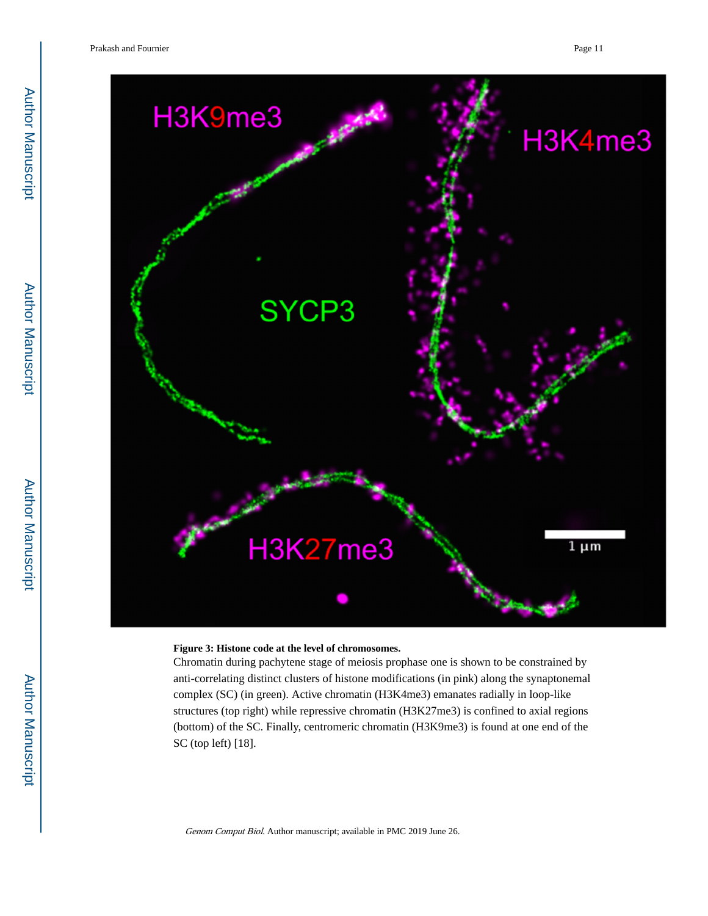

#### **Figure 3: Histone code at the level of chromosomes.**

Chromatin during pachytene stage of meiosis prophase one is shown to be constrained by anti-correlating distinct clusters of histone modifications (in pink) along the synaptonemal complex (SC) (in green). Active chromatin (H3K4me3) emanates radially in loop-like structures (top right) while repressive chromatin (H3K27me3) is confined to axial regions (bottom) of the SC. Finally, centromeric chromatin (H3K9me3) is found at one end of the SC (top left) [18].